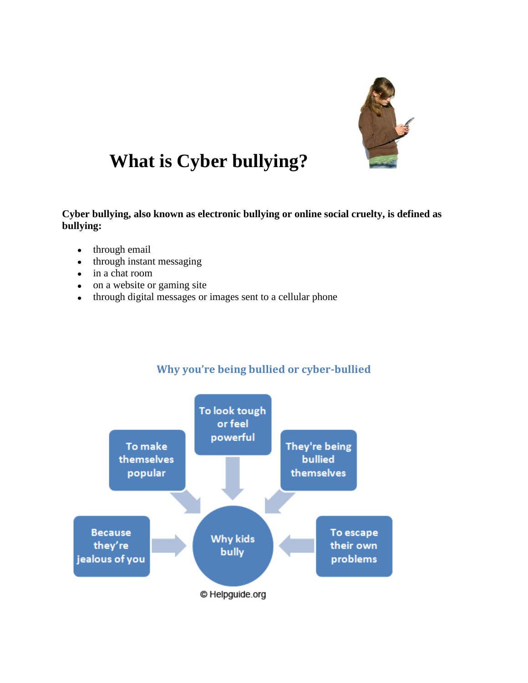

## **What is Cyber bullying?**

**Cyber bullying, also known as electronic bullying or online social cruelty, is defined as bullying:**

- through email
- through instant messaging
- in a chat room
- on a website or gaming site
- through digital messages or images sent to a cellular phone



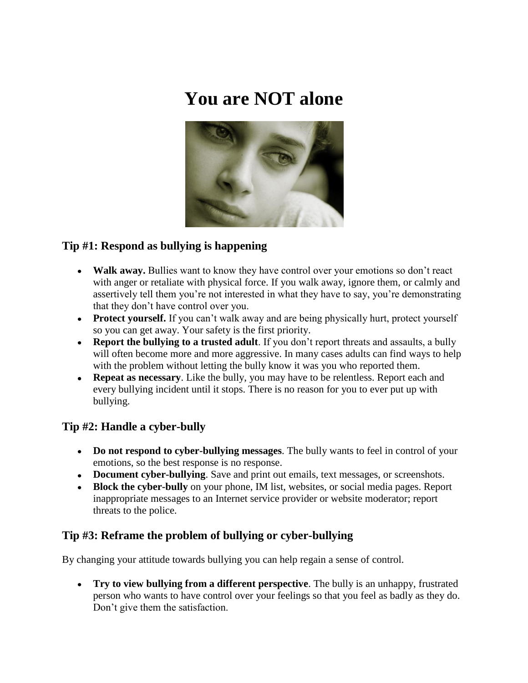# **You are NOT alone**



### **Tip #1: Respond as bullying is happening**

- **Walk away.** Bullies want to know they have control over your emotions so don't react with anger or retaliate with physical force. If you walk away, ignore them, or calmly and assertively tell them you're not interested in what they have to say, you're demonstrating that they don't have control over you.
- **Protect yourself.** If you can't walk away and are being physically hurt, protect yourself so you can get away. Your safety is the first priority.
- **Report the bullying to a trusted adult**. If you don't report threats and assaults, a bully will often become more and more aggressive. In many cases adults can find ways to help with the problem without letting the bully know it was you who reported them.
- **Repeat as necessary**. Like the bully, you may have to be relentless. Report each and every bullying incident until it stops. There is no reason for you to ever put up with bullying.

#### **Tip #2: Handle a cyber-bully**

- **Do not respond to cyber-bullying messages**. The bully wants to feel in control of your emotions, so the best response is no response.
- **Document cyber-bullying**. Save and print out emails, text messages, or screenshots.
- **Block the cyber-bully** on your phone, IM list, websites, or social media pages. Report inappropriate messages to an Internet service provider or website moderator; report threats to the police.

#### **Tip #3: Reframe the problem of bullying or cyber-bullying**

By changing your attitude towards bullying you can help regain a sense of control.

**Try to view bullying from a different perspective**. The bully is an unhappy, frustrated person who wants to have control over your feelings so that you feel as badly as they do. Don't give them the satisfaction.